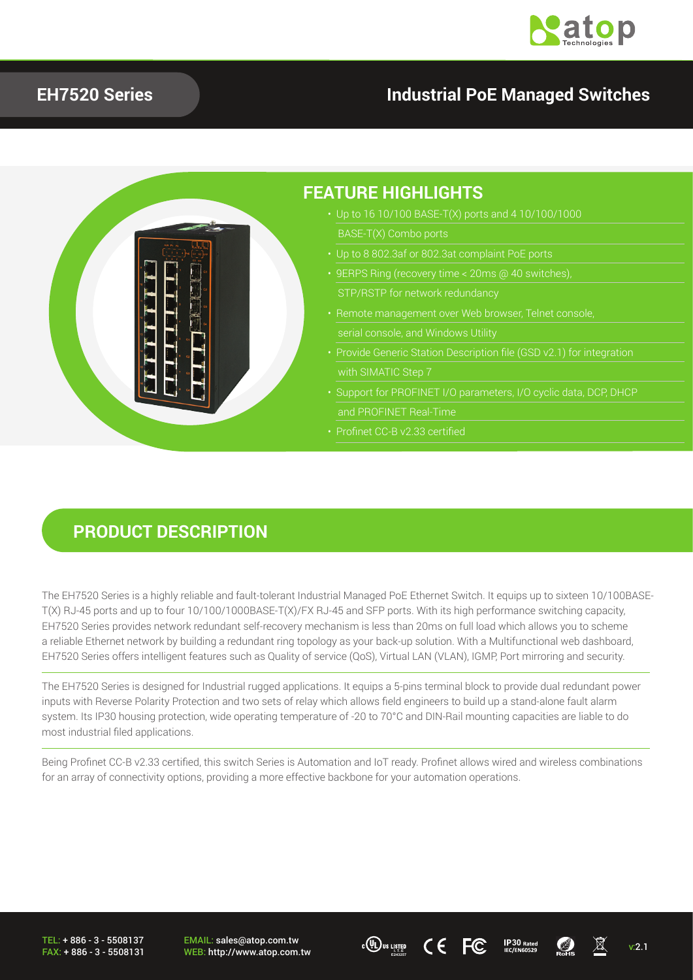

### **EH7520 Series Industrial PoE Managed Switches**



#### **PRODUCT DESCRIPTION**

The EH7520 Series is a highly reliable and fault-tolerant Industrial Managed PoE Ethernet Switch. It equips up to sixteen 10/100BASE-T(X) RJ-45 ports and up to four 10/100/1000BASE-T(X)/FX RJ-45 and SFP ports. With its high performance switching capacity, EH7520 Series provides network redundant self-recovery mechanism is less than 20ms on full load which allows you to scheme a reliable Ethernet network by building a redundant ring topology as your back-up solution. With a Multifunctional web dashboard, EH7520 Series offers intelligent features such as Quality of service (QoS), Virtual LAN (VLAN), IGMP, Port mirroring and security.

The EH7520 Series is designed for Industrial rugged applications. It equips a 5-pins terminal block to provide dual redundant power inputs with Reverse Polarity Protection and two sets of relay which allows field engineers to build up a stand-alone fault alarm system. Its IP30 housing protection, wide operating temperature of -20 to 70°C and DIN-Rail mounting capacities are liable to do most industrial filed applications.

Being Profinet CC-B v2.33 certified, this switch Series is Automation and IoT ready. Profinet allows wired and wireless combinations for an array of connectivity options, providing a more effective backbone for your automation operations.

TEL: + 886 - 3 - 5508137 FAX: + 886 - 3 - 5508131

EMAIL: sales@atop.com.tw  $\overline{C}$  **IP30**  $\overline{R}_{\text{ated}}$  **IP30 INCES:** http://www.atop.com.tw **v:2.1 ICES ICEC IP30 IRC/EN60529 ICES ICEC IEC/EN60529 ICES** 



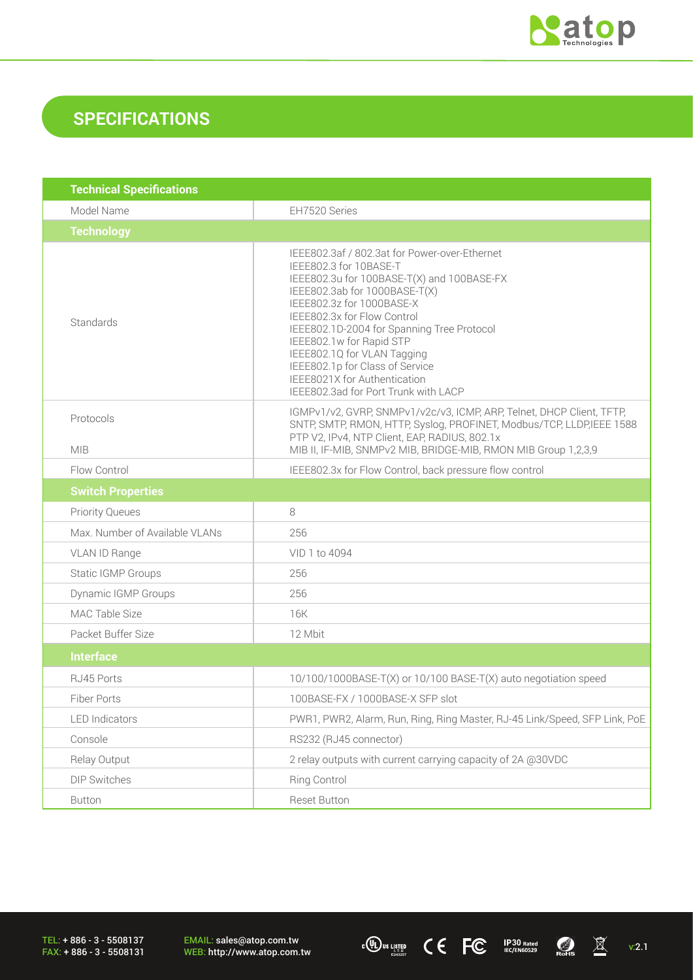

## **SPECIFICATIONS**

| <b>Technical Specifications</b> |                                                                                                                                                                                                                                                                                                                                                                                                                                        |
|---------------------------------|----------------------------------------------------------------------------------------------------------------------------------------------------------------------------------------------------------------------------------------------------------------------------------------------------------------------------------------------------------------------------------------------------------------------------------------|
| Model Name                      | EH7520 Series                                                                                                                                                                                                                                                                                                                                                                                                                          |
| <b>Technology</b>               |                                                                                                                                                                                                                                                                                                                                                                                                                                        |
| Standards                       | IEEE802.3af / 802.3at for Power-over-Ethernet<br>IEEE802.3 for 10BASE-T<br>IEEE802.3u for 100BASE-T(X) and 100BASE-FX<br>IEEE802.3ab for 1000BASE-T(X)<br>IEEE802.3z for 1000BASE-X<br>IEEE802.3x for Flow Control<br>IEEE802.1D-2004 for Spanning Tree Protocol<br>IEEE802.1w for Rapid STP<br>IEEE802.1Q for VLAN Tagging<br>IEEE802.1p for Class of Service<br>IEEE8021X for Authentication<br>IEEE802.3ad for Port Trunk with LACP |
| Protocols<br><b>MIB</b>         | IGMPv1/v2, GVRP, SNMPv1/v2c/v3, ICMP, ARP, Telnet, DHCP Client, TFTP,<br>SNTP, SMTP, RMON, HTTP, Syslog, PROFINET, Modbus/TCP, LLDP,IEEE 1588<br>PTP V2, IPv4, NTP Client, EAP, RADIUS, 802.1x<br>MIB II, IF-MIB, SNMPv2 MIB, BRIDGE-MIB, RMON MIB Group 1,2,3,9                                                                                                                                                                       |
| Flow Control                    | IEEE802.3x for Flow Control, back pressure flow control                                                                                                                                                                                                                                                                                                                                                                                |
| <b>Switch Properties</b>        |                                                                                                                                                                                                                                                                                                                                                                                                                                        |
| <b>Priority Queues</b>          | 8                                                                                                                                                                                                                                                                                                                                                                                                                                      |
| Max. Number of Available VLANs  | 256                                                                                                                                                                                                                                                                                                                                                                                                                                    |
| VLAN ID Range                   | VID 1 to 4094                                                                                                                                                                                                                                                                                                                                                                                                                          |
| Static IGMP Groups              | 256                                                                                                                                                                                                                                                                                                                                                                                                                                    |
| <b>Dynamic IGMP Groups</b>      | 256                                                                                                                                                                                                                                                                                                                                                                                                                                    |
| MAC Table Size                  | 16K                                                                                                                                                                                                                                                                                                                                                                                                                                    |
| Packet Buffer Size              | 12 Mbit                                                                                                                                                                                                                                                                                                                                                                                                                                |
| <b>Interface</b>                |                                                                                                                                                                                                                                                                                                                                                                                                                                        |
| RJ45 Ports                      | 10/100/1000BASE-T(X) or 10/100 BASE-T(X) auto negotiation speed                                                                                                                                                                                                                                                                                                                                                                        |
| Fiber Ports                     | 100BASE-FX / 1000BASE-X SFP slot                                                                                                                                                                                                                                                                                                                                                                                                       |
| <b>LED</b> Indicators           | PWR1, PWR2, Alarm, Run, Ring, Ring Master, RJ-45 Link/Speed, SFP Link, PoE                                                                                                                                                                                                                                                                                                                                                             |
| Console                         | RS232 (RJ45 connector)                                                                                                                                                                                                                                                                                                                                                                                                                 |
| Relay Output                    | 2 relay outputs with current carrying capacity of 2A @30VDC                                                                                                                                                                                                                                                                                                                                                                            |
| DIP Switches                    | <b>Ring Control</b>                                                                                                                                                                                                                                                                                                                                                                                                                    |
| <b>Button</b>                   | Reset Button                                                                                                                                                                                                                                                                                                                                                                                                                           |

TEL: + 886 - 3 - 5508137 FAX: + 886 - 3 - 5508131 EMAIL: sales@atop.com.tw<br>WEB: http://www.atop.com.tw **WEB: http://www.atop.com.tw** v:2.1 **30 ICC ICC ICO ICO ICO ICO ICO ICO ICO ICO ICO ICO ICO ICO ICO ICO ICO ICO ICO ICO ICO ICO ICO ICO ICO ICO ICO ICO ICO ICO**

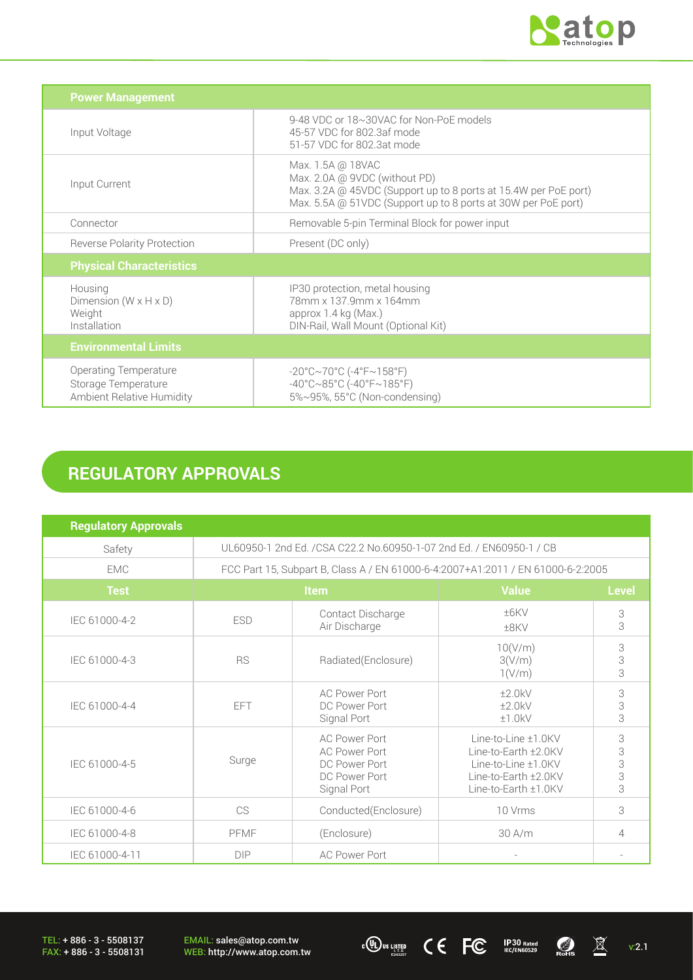

| <b>Power Management</b>                                                          |                                                                                                                                                                                        |
|----------------------------------------------------------------------------------|----------------------------------------------------------------------------------------------------------------------------------------------------------------------------------------|
| Input Voltage                                                                    | 9-48 VDC or 18~30VAC for Non-PoE models<br>45-57 VDC for 802.3af mode<br>51-57 VDC for 802.3at mode                                                                                    |
| Input Current                                                                    | Max. 1.5A @ 18VAC<br>Max. 2.0A @ 9VDC (without PD)<br>Max. 3.2A @ 45VDC (Support up to 8 ports at 15.4W per PoE port)<br>Max. 5.5A @ 51VDC (Support up to 8 ports at 30W per PoE port) |
| Connector                                                                        | Removable 5-pin Terminal Block for power input                                                                                                                                         |
| <b>Reverse Polarity Protection</b>                                               | Present (DC only)                                                                                                                                                                      |
| <b>Physical Characteristics</b>                                                  |                                                                                                                                                                                        |
| Housing<br>Dimension $(W \times H \times D)$<br>Weight<br>Installation           | IP30 protection, metal housing<br>78mm x 137.9mm x 164mm<br>approx 1.4 kg (Max.)<br>DIN-Rail, Wall Mount (Optional Kit)                                                                |
| <b>Environmental Limits</b>                                                      |                                                                                                                                                                                        |
| <b>Operating Temperature</b><br>Storage Temperature<br>Ambient Relative Humidity | $-20^{\circ}$ C $\sim$ 70°C (-4°F $\sim$ 158°F)<br>$-40^{\circ}$ C $\sim$ 85°C (-40°F $\sim$ 185°F)<br>5%~95%, 55°C (Non-condensing)                                                   |

# **REGULATORY APPROVALS**

| <b>Regulatory Approvals</b> |                                                                                 |                                                                                               |                                                                                                                    |                                |
|-----------------------------|---------------------------------------------------------------------------------|-----------------------------------------------------------------------------------------------|--------------------------------------------------------------------------------------------------------------------|--------------------------------|
| Safety                      | UL60950-1 2nd Ed. /CSA C22.2 No.60950-1-07 2nd Ed. / EN60950-1 / CB             |                                                                                               |                                                                                                                    |                                |
| <b>EMC</b>                  | FCC Part 15, Subpart B, Class A / EN 61000-6-4:2007+A1:2011 / EN 61000-6-2:2005 |                                                                                               |                                                                                                                    |                                |
| <b>Test</b>                 | Item                                                                            |                                                                                               | <b>Value</b>                                                                                                       | <b>Level</b>                   |
| IEC 61000-4-2               | <b>ESD</b>                                                                      | Contact Discharge<br>Air Discharge                                                            | ±6KV<br>±8KV                                                                                                       | $\ensuremath{\mathsf{3}}$<br>3 |
| IEC 61000-4-3               | <b>RS</b>                                                                       | Radiated(Enclosure)                                                                           | 10(V/m)<br>3(V/m)<br>1(V/m)                                                                                        | 3<br>3<br>3                    |
| IEC 61000-4-4               | EFT                                                                             | <b>AC Power Port</b><br>DC Power Port<br>Signal Port                                          | ±2.0kV<br>±2.0kV<br>±1.0kV                                                                                         | 3<br>3<br>3                    |
| IEC 61000-4-5               | Surge                                                                           | <b>AC Power Port</b><br><b>AC Power Port</b><br>DC Power Port<br>DC Power Port<br>Signal Port | Line-to-Line ±1.0KV<br>Line-to-Earth ±2.0KV<br>Line-to-Line ±1.0KV<br>Line-to-Earth ±2.0KV<br>Line-to-Earth ±1.0KV | 3<br>3<br>3<br>3<br>3          |
| IEC 61000-4-6               | CS                                                                              | Conducted(Enclosure)                                                                          | 10 Vrms                                                                                                            | 3                              |
| IEC 61000-4-8               | PFMF                                                                            | (Enclosure)                                                                                   | 30 A/m                                                                                                             | 4                              |
| IEC 61000-4-11              | <b>DIP</b>                                                                      | <b>AC Power Port</b>                                                                          |                                                                                                                    |                                |

EMAIL: sales@atop.com.tw<br>WEB: http://www.atop.com.tw **WEB: http://www.atop.com.tw** v:2.1 **30 ICC ICC ICO ICO ICO ICO ICO ICO ICO ICO ICO ICO ICO ICO ICO ICO ICO ICO ICO ICO ICO ICO ICO ICO ICO ICO ICO ICO ICO ICO**